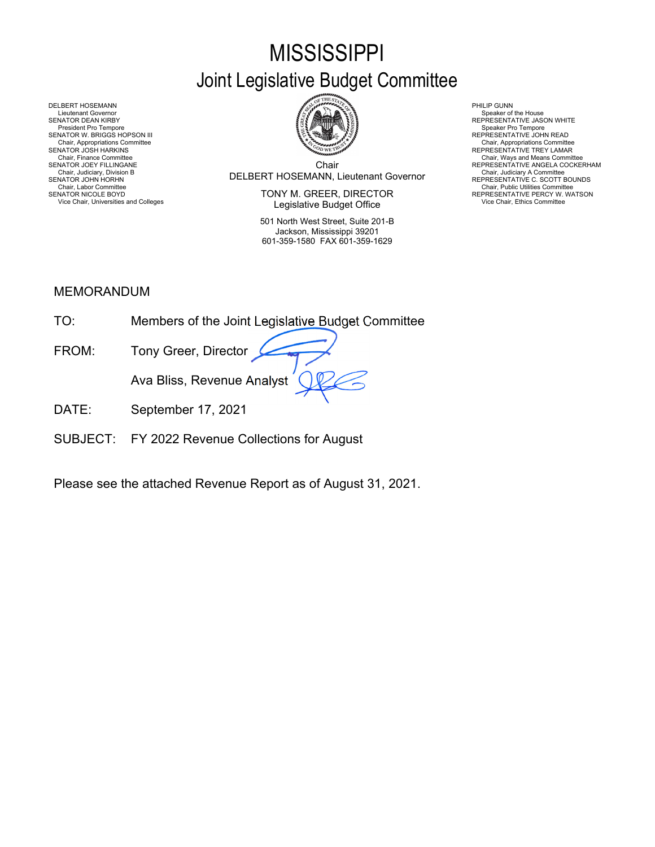# **MISSISSIPPI**

# Joint Legislative Budget Committee



Chair DELBERT HOSEMANN, Lieutenant Governor Chair, Judiciary, Division B Chair, Judiciary A Committee SENATOR JOHN HORHN REPRESENTATIVE C. SCOTT BOUNDS Chair, Finance Committee **Chair Chair, Ways and Means Committee Committee Chair**<br>SENATOR JOEY FILLINGANE REPRESENTATIVE ANGELA COCKERHAM

SENATOR NICOLE BOYD **EXECTOR EXECUTOR SENATOR IN EXECTOR** TO REPRESENTATIVE PERCY W. WATSON Vice Chair, Universities and Colleges **Vice Chair, Ethics Committee Vice Chair, Ethics Committee Vice Chair**, Ethics Committee

> 501 North West Street, Suite 201-B Jackson, Mississippi 39201 601-359-1580 FAX 601-359-1629

DELBERT HOSEMANN PHILIP GUNN<br>Lieutenant Governor Speaker of Speaker of Speaker of Speaker of Speaker of Speaker of Speaker of Speaker of Sp Lieutenant Governor (Symbolic Lieutenant Governor Speaker of the House (Symbolic Lieutenant Governor Speaker of the House Speaker of the House Speaker of the House Speaker of the House (Symbolic Lieutenant VE Jason WHITE ) SENATOR W. BRIGGS HOPSON III CHEERE SENATOR W. BRIGGS HOPSON III CHEERE SENATOR W. BRIGGS HOPSON III<br>Chair, Appropriations Committee Chair, Appropriations Committee Chair, Appropriations Committee Chair, Appropriations Com Chair, Appropriations Committee Chair, Appropriations Committee المستخدمة المستخدمة المستخدمة المستخدمة المستخدمة المستخدمة المستخدمة المستخدمة المستخدمة المستخدمة المستخدمة المستخدمة المستخدمة المستخدمة المستخدمة المستخد Chair, Judiciary Atomities Chair, Judiciary Atomities Chair, Judiciary Atomities Chair, Chair, Chair, Chair, Chair, Chair, Chair, Chair, Chair, Chair, Uniciary Atomities Chair, Labor Committee Chair, Labor Chair, Labor Com

## MEMORANDUM

| TO <sup>.</sup> | Members of the Joint Legislative Budget Committee |
|-----------------|---------------------------------------------------|
| FROM:           | Tony Greer, Director                              |
|                 | Ava Bliss, Revenue Analyst                        |
| DAIF            | September 17, 2021                                |

SUBJECT: FY 2022 Revenue Collections for August

Please see the attached Revenue Report as of August 31, 2021.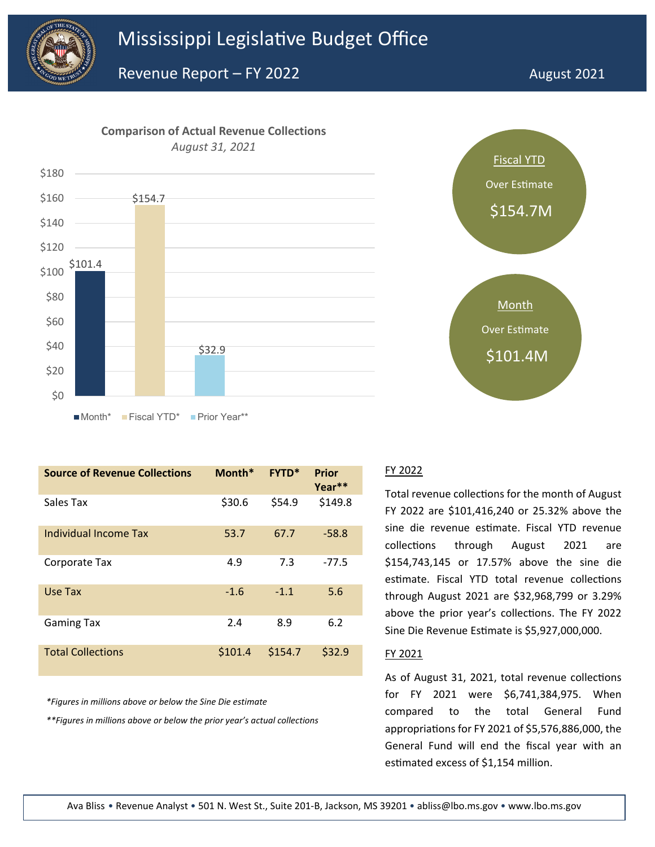



| <b>Source of Revenue Collections</b> | Month*  | <b>FYTD*</b> | <b>Prior</b><br>Year** |
|--------------------------------------|---------|--------------|------------------------|
| Sales Tax                            | \$30.6  | \$54.9       | \$149.8                |
| Individual Income Tax                | 53.7    | 67.7         | $-58.8$                |
| Corporate Tax                        | 4.9     | 7.3          | $-77.5$                |
| Use Tax                              | $-1.6$  | $-1.1$       | 5.6                    |
| <b>Gaming Tax</b>                    | 2.4     | 8.9          | 6.2                    |
| <b>Total Collections</b>             | \$101.4 | \$154.7      | \$32.9                 |

*\*Figures in millions above or below the Sine Die estimate*

*\*\*Figures in millions above or below the prior year's actual collections*



#### FY 2022

Total revenue collections for the month of August FY 2022 are \$101,416,240 or 25.32% above the sine die revenue estimate. Fiscal YTD revenue collections through August 2021 are \$154,743,145 or 17.57% above the sine die estimate. Fiscal YTD total revenue collections through August 2021 are \$32,968,799 or 3.29% above the prior year's collections. The FY 2022 Sine Die Revenue Estimate is \$5,927,000,000.

#### FY 2021

As of August 31, 2021, total revenue collections for FY 2021 were \$6,741,384,975. When compared to the total General Fund appropriations for FY 2021 of \$5,576,886,000, the General Fund will end the fiscal year with an estimated excess of \$1,154 million.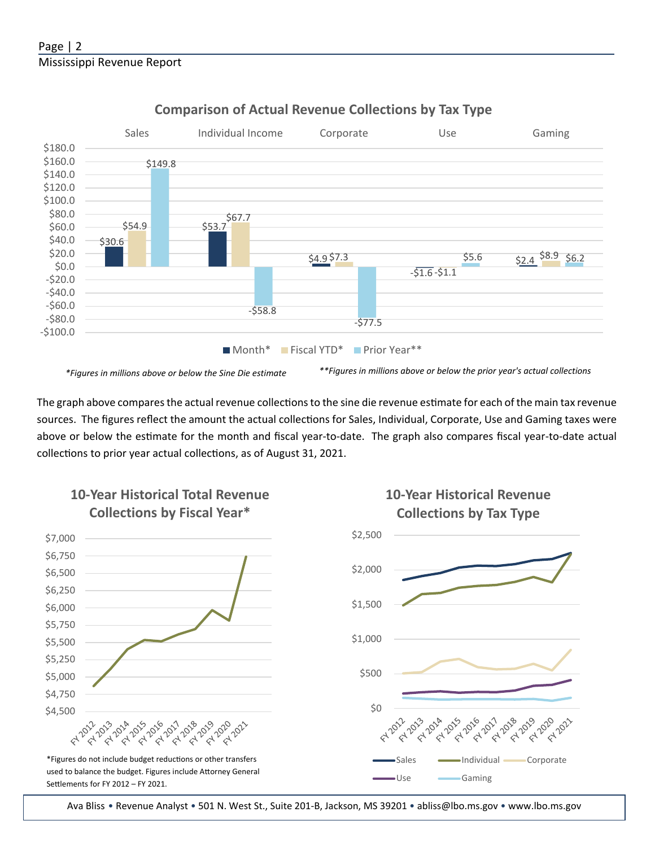

### **Comparison of Actual Revenue Collections by Tax Type**

\*Figures in millions above or below the Sine Die estimate \*\*\*Figures in millions above or below the prior year's actual collections

The graph above compares the actual revenue collections to the sine die revenue estimate for each of the main tax revenue sources. The figures reflect the amount the actual collections for Sales, Individual, Corporate, Use and Gaming taxes were above or below the estimate for the month and fiscal year-to-date. The graph also compares fiscal year-to-date actual collections to prior year actual collections, as of August 31, 2021.



Ava Bliss • Revenue Analyst • 501 N. West St., Suite 201-B, Jackson, MS 39201 • abliss@lbo.ms.gov • www.lbo.ms.gov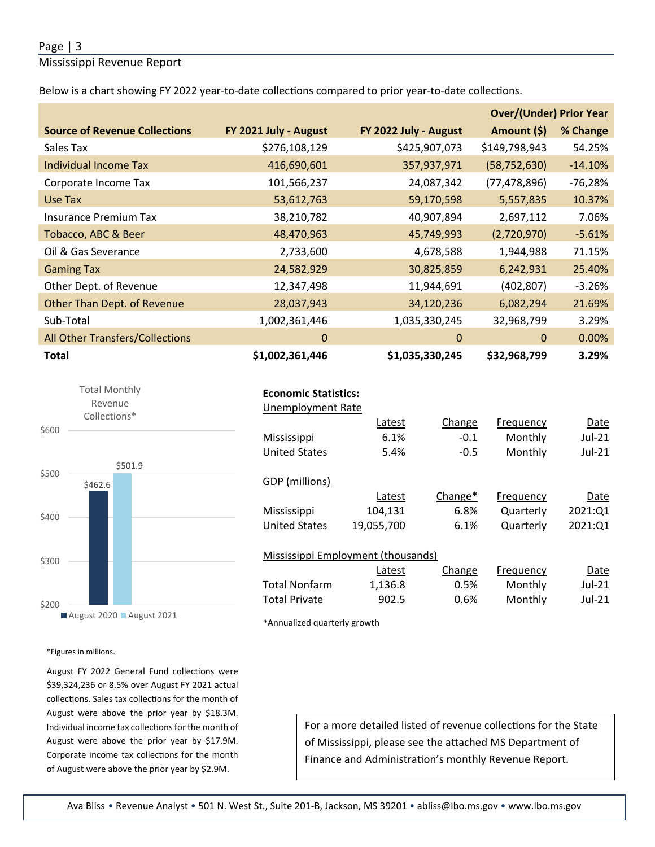#### Page | 3

Mississippi Revenue Report

Below is a chart showing FY 2022 year-to-date collections compared to prior year-to-date collections.

|                                      |                       |                       | <b>Over/(Under) Prior Year</b> |           |  |
|--------------------------------------|-----------------------|-----------------------|--------------------------------|-----------|--|
| <b>Source of Revenue Collections</b> | FY 2021 July - August | FY 2022 July - August | Amount (\$)                    | % Change  |  |
| Sales Tax                            | \$276,108,129         | \$425,907,073         | \$149,798,943                  | 54.25%    |  |
| Individual Income Tax                | 416,690,601           | 357,937,971           | (58, 752, 630)                 | $-14.10%$ |  |
| Corporate Income Tax                 | 101,566,237           | 24,087,342            | (77, 478, 896)                 | $-76,28%$ |  |
| Use Tax                              | 53,612,763            | 59,170,598            | 5,557,835                      | 10.37%    |  |
| <b>Insurance Premium Tax</b>         | 38,210,782            | 40,907,894            | 2,697,112                      | 7.06%     |  |
| Tobacco, ABC & Beer                  | 48,470,963            | 45,749,993            | (2,720,970)                    | $-5.61%$  |  |
| Oil & Gas Severance                  | 2,733,600             | 4,678,588             | 1,944,988                      | 71.15%    |  |
| <b>Gaming Tax</b>                    | 24,582,929            | 30,825,859            | 6,242,931                      | 25.40%    |  |
| Other Dept. of Revenue               | 12,347,498            | 11,944,691            | (402, 807)                     | $-3.26%$  |  |
| Other Than Dept. of Revenue          | 28,037,943            | 34,120,236            | 6,082,294                      | 21.69%    |  |
| Sub-Total                            | 1,002,361,446         | 1,035,330,245         | 32,968,799                     | 3.29%     |  |
| All Other Transfers/Collections      | 0                     | 0                     | 0                              | $0.00\%$  |  |
| <b>Total</b>                         | \$1,002,361,446       | \$1,035,330,245       | \$32,968,799                   | 3.29%     |  |



#### **Economic Statistics:**

| <b>Unemployment Rate</b> |                                    |         |           |          |
|--------------------------|------------------------------------|---------|-----------|----------|
|                          | Latest                             | Change  | Frequency | Date     |
| Mississippi              | 6.1%                               | $-0.1$  | Monthly   | $Jul-21$ |
| <b>United States</b>     | 5.4%                               | $-0.5$  | Monthly   | $Jul-21$ |
|                          |                                    |         |           |          |
| GDP (millions)           |                                    |         |           |          |
|                          | Latest                             | Change* | Frequency | Date     |
| Mississippi              | 104,131                            | 6.8%    | Quarterly | 2021:Q1  |
| <b>United States</b>     | 19,055,700                         | 6.1%    | Quarterly | 2021:Q1  |
|                          |                                    |         |           |          |
|                          | Mississippi Employment (thousands) |         |           |          |
|                          | Latest                             | Change  | Frequency | Date     |

|                      | Latest  | Change  | Frequency | Date   |
|----------------------|---------|---------|-----------|--------|
| Total Nonfarm        | 1.136.8 | 0.5%    | Monthly   | Jul-21 |
| <b>Total Private</b> | 902.5   | $0.6\%$ | Monthly   | Jul-21 |

\*Annualized quarterly growth

\*Figures in millions.

August FY 2022 General Fund collections were \$39,324,236 or 8.5% over August FY 2021 actual collections. Sales tax collections for the month of August were above the prior year by \$18.3M. Individual income tax collections for the month of August were above the prior year by \$17.9M. Corporate income tax collections for the month of August were above the prior year by \$2.9M.

For a more detailed listed of revenue collections for the State of Mississippi, please see the attached MS Department of Finance and Administration's monthly Revenue Report.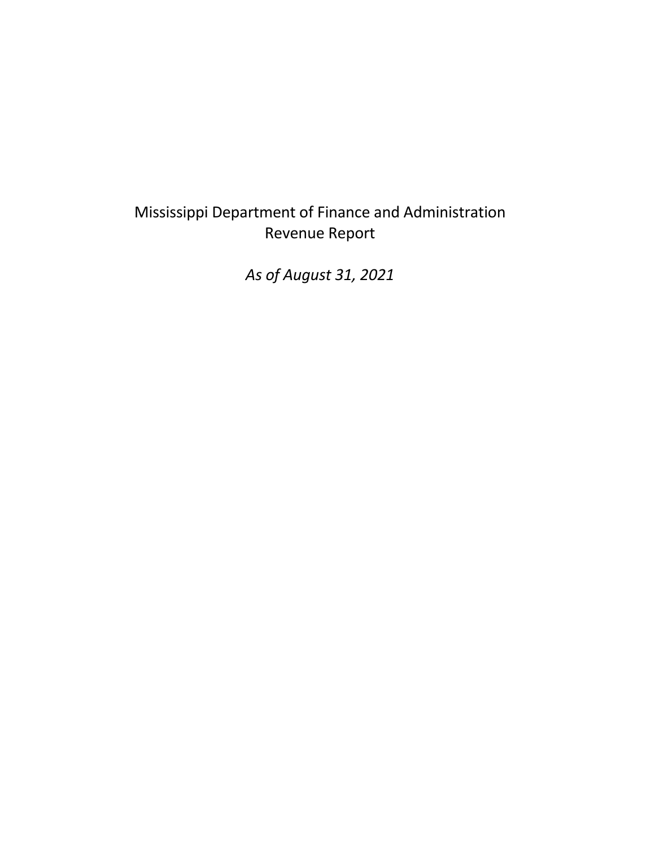## Mississippi Department of Finance and Administration Revenue Report

*As of August 31, 2021*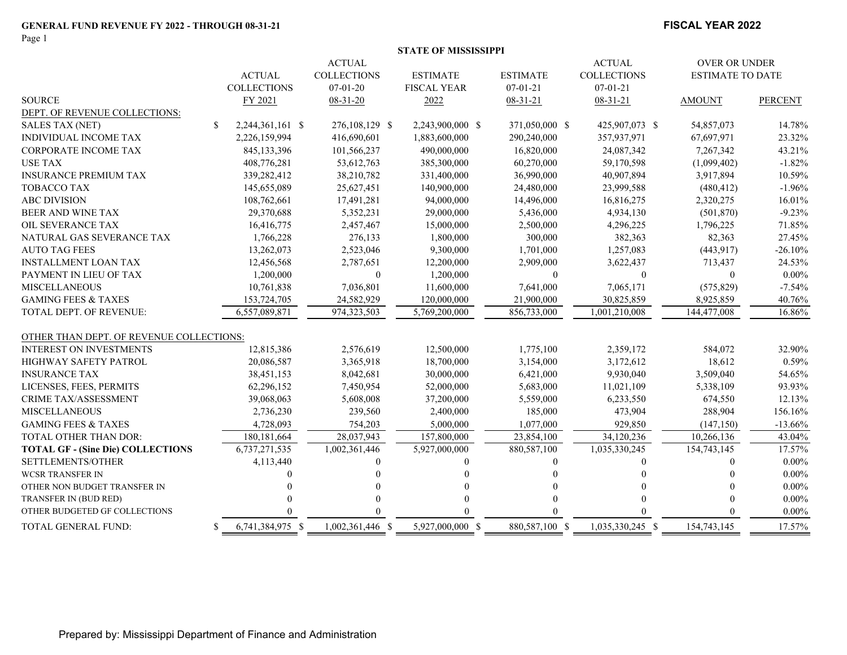Page 1

#### **FISCAL YEAR 2022**

|                                          |                        |                    | <b>STATE OF MISSISSIPPI</b> |                 |                    |                         |                |
|------------------------------------------|------------------------|--------------------|-----------------------------|-----------------|--------------------|-------------------------|----------------|
|                                          |                        | <b>ACTUAL</b>      |                             |                 | <b>ACTUAL</b>      | <b>OVER OR UNDER</b>    |                |
|                                          | <b>ACTUAL</b>          | <b>COLLECTIONS</b> | <b>ESTIMATE</b>             | <b>ESTIMATE</b> | <b>COLLECTIONS</b> | <b>ESTIMATE TO DATE</b> |                |
|                                          | <b>COLLECTIONS</b>     | $07-01-20$         | <b>FISCAL YEAR</b>          | $07 - 01 - 21$  | $07 - 01 - 21$     |                         |                |
| <b>SOURCE</b>                            | FY 2021                | $08-31-20$         | 2022                        | $08 - 31 - 21$  | 08-31-21           | <b>AMOUNT</b>           | <b>PERCENT</b> |
| DEPT. OF REVENUE COLLECTIONS:            |                        |                    |                             |                 |                    |                         |                |
| SALES TAX (NET)                          | \$<br>2,244,361,161 \$ | 276,108,129 \$     | 2,243,900,000 \$            | 371,050,000 \$  | 425,907,073 \$     | 54,857,073              | 14.78%         |
| INDIVIDUAL INCOME TAX                    | 2,226,159,994          | 416,690,601        | 1,883,600,000               | 290,240,000     | 357,937,971        | 67,697,971              | 23.32%         |
| CORPORATE INCOME TAX                     | 845,133,396            | 101,566,237        | 490,000,000                 | 16,820,000      | 24,087,342         | 7,267,342               | 43.21%         |
| <b>USE TAX</b>                           | 408,776,281            | 53,612,763         | 385,300,000                 | 60,270,000      | 59,170,598         | (1,099,402)             | $-1.82%$       |
| <b>INSURANCE PREMIUM TAX</b>             | 339,282,412            | 38,210,782         | 331,400,000                 | 36,990,000      | 40,907,894         | 3,917,894               | 10.59%         |
| TOBACCO TAX                              | 145,655,089            | 25,627,451         | 140,900,000                 | 24,480,000      | 23,999,588         | (480, 412)              | $-1.96%$       |
| <b>ABC DIVISION</b>                      | 108,762,661            | 17,491,281         | 94,000,000                  | 14,496,000      | 16,816,275         | 2,320,275               | 16.01%         |
| <b>BEER AND WINE TAX</b>                 | 29,370,688             | 5,352,231          | 29,000,000                  | 5,436,000       | 4,934,130          | (501, 870)              | $-9.23%$       |
| OIL SEVERANCE TAX                        | 16,416,775             | 2,457,467          | 15,000,000                  | 2,500,000       | 4,296,225          | 1,796,225               | 71.85%         |
| NATURAL GAS SEVERANCE TAX                | 1,766,228              | 276,133            | 1,800,000                   | 300,000         | 382,363            | 82,363                  | 27.45%         |
| <b>AUTO TAG FEES</b>                     | 13,262,073             | 2,523,046          | 9,300,000                   | 1,701,000       | 1,257,083          | (443, 917)              | $-26.10%$      |
| <b>INSTALLMENT LOAN TAX</b>              | 12,456,568             | 2,787,651          | 12,200,000                  | 2,909,000       | 3,622,437          | 713,437                 | 24.53%         |
| PAYMENT IN LIEU OF TAX                   | 1,200,000              | $\theta$           | 1,200,000                   | $\mathbf{0}$    | $\mathbf{0}$       | $\mathbf{0}$            | $0.00\%$       |
| <b>MISCELLANEOUS</b>                     | 10,761,838             | 7,036,801          | 11,600,000                  | 7,641,000       | 7,065,171          | (575, 829)              | $-7.54%$       |
| <b>GAMING FEES &amp; TAXES</b>           | 153,724,705            | 24,582,929         | 120,000,000                 | 21,900,000      | 30,825,859         | 8,925,859               | 40.76%         |
| TOTAL DEPT. OF REVENUE:                  | 6.557.089.871          | 974,323,503        | 5.769.200.000               | 856,733,000     | 1.001.210.008      | 144,477,008             | 16.86%         |
| OTHER THAN DEPT. OF REVENUE COLLECTIONS: |                        |                    |                             |                 |                    |                         |                |
| <b>INTEREST ON INVESTMENTS</b>           | 12,815,386             | 2,576,619          | 12,500,000                  | 1,775,100       | 2,359,172          | 584,072                 | 32.90%         |
| HIGHWAY SAFETY PATROL                    | 20,086,587             | 3,365,918          | 18,700,000                  | 3,154,000       | 3,172,612          | 18,612                  | 0.59%          |
| <b>INSURANCE TAX</b>                     | 38,451,153             | 8,042,681          | 30,000,000                  | 6,421,000       | 9,930,040          | 3,509,040               | 54.65%         |
| LICENSES, FEES, PERMITS                  | 62,296,152             | 7,450,954          | 52,000,000                  | 5,683,000       | 11,021,109         | 5,338,109               | 93.93%         |
| CRIME TAX/ASSESSMENT                     | 39,068,063             | 5,608,008          | 37,200,000                  | 5,559,000       | 6,233,550          | 674,550                 | 12.13%         |
| <b>MISCELLANEOUS</b>                     | 2,736,230              | 239,560            | 2,400,000                   | 185,000         | 473,904            | 288,904                 | 156.16%        |
| <b>GAMING FEES &amp; TAXES</b>           | 4,728,093              | 754,203            | 5,000,000                   | 1,077,000       | 929,850            | (147, 150)              | $-13.66%$      |
| <b>TOTAL OTHER THAN DOR:</b>             | 180,181,664            | 28,037,943         | 157,800,000                 | 23,854,100      | 34,120,236         | 10,266,136              | 43.04%         |
| <b>TOTAL GF - (Sine Die) COLLECTIONS</b> | 6,737,271,535          | 1,002,361,446      | 5,927,000,000               | 880,587,100     | 1,035,330,245      | 154,743,145             | 17.57%         |
| SETTLEMENTS/OTHER                        | 4,113,440              | $\Omega$           |                             | 0               | 0                  | $\mathbf{0}$            | $0.00\%$       |
| <b>WCSR TRANSFER IN</b>                  |                        |                    |                             |                 |                    |                         | $0.00\%$       |
| OTHER NON BUDGET TRANSFER IN             |                        |                    |                             |                 |                    |                         | $0.00\%$       |
| TRANSFER IN (BUD RED)                    |                        |                    |                             |                 |                    |                         | $0.00\%$       |
| OTHER BUDGETED GF COLLECTIONS            |                        |                    | $\Omega$                    |                 |                    |                         | $0.00\%$       |
| TOTAL GENERAL FUND:                      | 6,741,384,975 \$       | 1.002.361.446 \$   | 5.927,000,000 \$            | 880,587,100 \$  | 1,035,330,245 \$   | 154,743,145             | 17.57%         |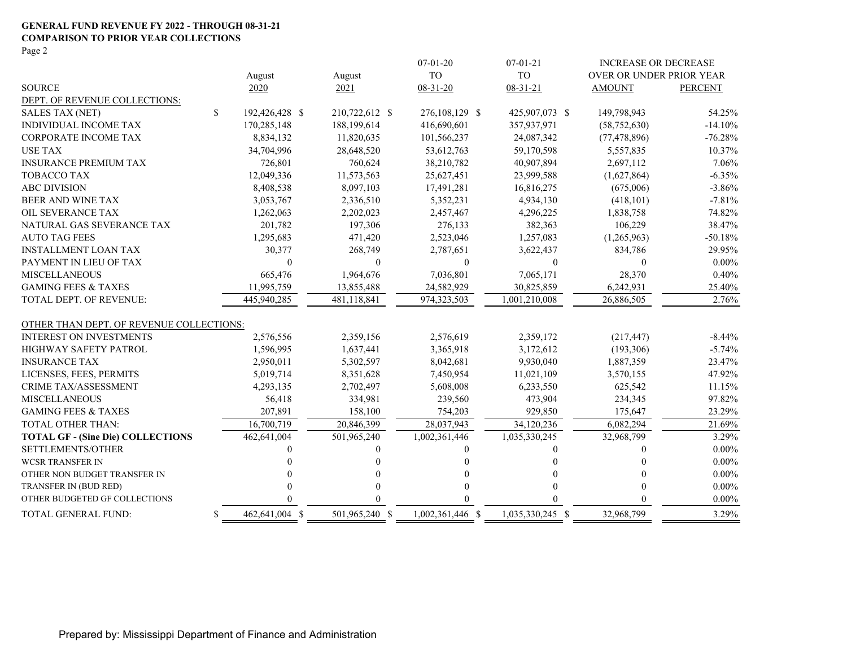#### **GENERAL FUND REVENUE FY 2022 - THROUGH 08-31-21 COMPARISON TO PRIOR YEAR COLLECTIONS**

Page 2

|                                          |              |                |                | $07 - 01 - 20$   | $07 - 01 - 21$   | <b>INCREASE OR DECREASE</b> |                |
|------------------------------------------|--------------|----------------|----------------|------------------|------------------|-----------------------------|----------------|
|                                          |              | August         | August         | <b>TO</b>        | <b>TO</b>        | OVER OR UNDER PRIOR YEAR    |                |
| <b>SOURCE</b>                            |              | 2020           | 2021           | 08-31-20         | $08 - 31 - 21$   | <b>AMOUNT</b>               | <b>PERCENT</b> |
| DEPT. OF REVENUE COLLECTIONS:            |              |                |                |                  |                  |                             |                |
| <b>SALES TAX (NET)</b>                   | $\mathbb{S}$ | 192,426,428 \$ | 210,722,612 \$ | 276,108,129 \$   | 425,907,073 \$   | 149,798,943                 | 54.25%         |
| INDIVIDUAL INCOME TAX                    |              | 170,285,148    | 188,199,614    | 416,690,601      | 357,937,971      | (58, 752, 630)              | $-14.10%$      |
| CORPORATE INCOME TAX                     |              | 8,834,132      | 11,820,635     | 101,566,237      | 24,087,342       | (77, 478, 896)              | $-76.28%$      |
| <b>USE TAX</b>                           |              | 34,704,996     | 28,648,520     | 53,612,763       | 59,170,598       | 5,557,835                   | 10.37%         |
| <b>INSURANCE PREMIUM TAX</b>             |              | 726,801        | 760,624        | 38,210,782       | 40,907,894       | 2,697,112                   | 7.06%          |
| TOBACCO TAX                              |              | 12,049,336     | 11,573,563     | 25,627,451       | 23,999,588       | (1,627,864)                 | $-6.35%$       |
| <b>ABC DIVISION</b>                      |              | 8,408,538      | 8,097,103      | 17,491,281       | 16,816,275       | (675,006)                   | $-3.86%$       |
| BEER AND WINE TAX                        |              | 3,053,767      | 2,336,510      | 5,352,231        | 4,934,130        | (418, 101)                  | $-7.81%$       |
| OIL SEVERANCE TAX                        |              | 1,262,063      | 2,202,023      | 2,457,467        | 4,296,225        | 1,838,758                   | 74.82%         |
| NATURAL GAS SEVERANCE TAX                |              | 201,782        | 197,306        | 276,133          | 382,363          | 106,229                     | 38.47%         |
| <b>AUTO TAG FEES</b>                     |              | 1,295,683      | 471,420        | 2,523,046        | 1,257,083        | (1,265,963)                 | $-50.18%$      |
| <b>INSTALLMENT LOAN TAX</b>              |              | 30,377         | 268,749        | 2,787,651        | 3,622,437        | 834,786                     | 29.95%         |
| PAYMENT IN LIEU OF TAX                   |              | $\overline{0}$ | $\mathbf{0}$   | $\mathbf{0}$     | $\mathbf{0}$     | $\Omega$                    | $0.00\%$       |
| <b>MISCELLANEOUS</b>                     |              | 665,476        | 1,964,676      | 7,036,801        | 7,065,171        | 28,370                      | 0.40%          |
| <b>GAMING FEES &amp; TAXES</b>           |              | 11,995,759     | 13,855,488     | 24,582,929       | 30,825,859       | 6,242,931                   | 25.40%         |
| <b>TOTAL DEPT. OF REVENUE:</b>           |              | 445,940,285    | 481,118,841    | 974,323,503      | 1,001,210,008    | 26,886,505                  | 2.76%          |
| OTHER THAN DEPT. OF REVENUE COLLECTIONS: |              |                |                |                  |                  |                             |                |
| <b>INTEREST ON INVESTMENTS</b>           |              | 2,576,556      | 2,359,156      | 2,576,619        | 2,359,172        | (217, 447)                  | $-8.44\%$      |
| HIGHWAY SAFETY PATROL                    |              | 1,596,995      | 1,637,441      | 3,365,918        | 3,172,612        | (193, 306)                  | $-5.74%$       |
| <b>INSURANCE TAX</b>                     |              | 2,950,011      | 5,302,597      | 8,042,681        | 9,930,040        | 1,887,359                   | 23.47%         |
| LICENSES, FEES, PERMITS                  |              | 5,019,714      | 8,351,628      | 7,450,954        | 11,021,109       | 3,570,155                   | 47.92%         |
| <b>CRIME TAX/ASSESSMENT</b>              |              | 4,293,135      | 2,702,497      | 5,608,008        | 6,233,550        | 625,542                     | 11.15%         |
| <b>MISCELLANEOUS</b>                     |              | 56,418         | 334,981        | 239,560          | 473,904          | 234,345                     | 97.82%         |
| <b>GAMING FEES &amp; TAXES</b>           |              | 207,891        | 158,100        | 754,203          | 929,850          | 175,647                     | 23.29%         |
| <b>TOTAL OTHER THAN:</b>                 |              | 16,700,719     | 20,846,399     | 28,037,943       | 34,120,236       | 6,082,294                   | 21.69%         |
| <b>TOTAL GF - (Sine Die) COLLECTIONS</b> |              | 462,641,004    | 501,965,240    | 1,002,361,446    | 1,035,330,245    | 32,968,799                  | 3.29%          |
| SETTLEMENTS/OTHER                        |              |                | $\theta$       |                  |                  | $\theta$                    | $0.00\%$       |
| <b>WCSR TRANSFER IN</b>                  |              |                | $\Omega$       |                  |                  | 0                           | $0.00\%$       |
| OTHER NON BUDGET TRANSFER IN             |              |                | 0              |                  |                  | 0                           | $0.00\%$       |
| TRANSFER IN (BUD RED)                    |              |                | $\Omega$       |                  | 0                |                             | $0.00\%$       |
| OTHER BUDGETED GF COLLECTIONS            |              |                | 0              |                  |                  |                             | $0.00\%$       |
| TOTAL GENERAL FUND:                      | \$           | 462,641,004 \$ | 501,965,240 \$ | 1,002,361,446 \$ | 1,035,330,245 \$ | 32,968,799                  | 3.29%          |